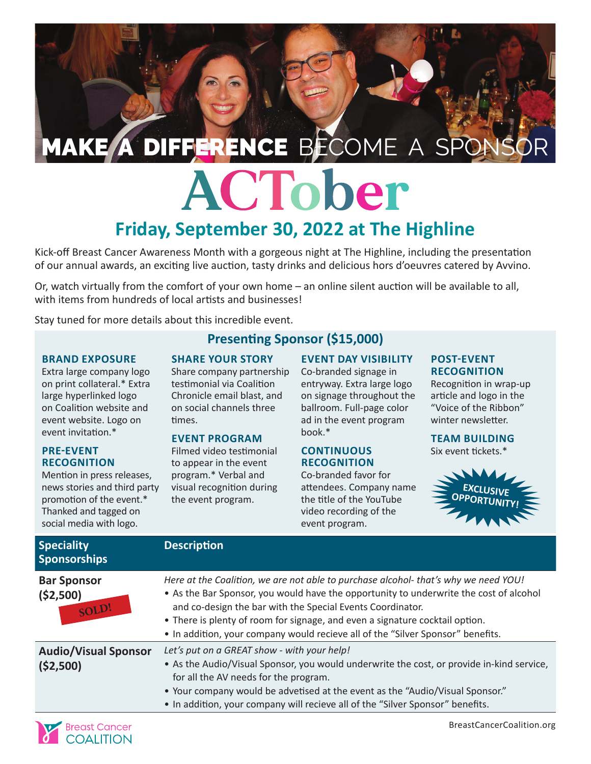# MAKE A DIFFERENCE BECOME A SPC

## ACTober **Friday, September 30, 2022 at The Highline**

Kick-off Breast Cancer Awareness Month with a gorgeous night at The Highline, including the presentation of our annual awards, an exciting live auction, tasty drinks and delicious hors d'oeuvres catered by Avvino.

Or, watch virtually from the comfort of your own home – an online silent auction will be available to all, with items from hundreds of local artists and businesses!

Stay tuned for more details about this incredible event.

#### **BRAND EXPOSURE**

Extra large company logo on print collateral.\* Extra large hyperlinked logo on Coalition website and event website. Logo on event invitation.\*

#### **PRE-EVENT RECOGNITION**

Mention in press releases, news stories and third party promotion of the event.\* Thanked and tagged on social media with logo.

#### **Presenting Sponsor (\$15,000)**

#### **SHARE YOUR STORY**

Share company partnership testimonial via Coalition Chronicle email blast, and on social channels three times.

#### **EVENT PROGRAM**

Filmed video testimonial to appear in the event program.\* Verbal and visual recognition during the event program.

#### **EVENT DAY VISIBILITY**

Co-branded signage in entryway. Extra large logo on signage throughout the ballroom. Full-page color ad in the event program book.\*

#### **CONTINUOUS RECOGNITION**

Co-branded favor for attendees. Company name the title of the YouTube video recording of the event program.

#### **POST-EVENT RECOGNITION**

Recognition in wrap-up article and logo in the "Voice of the Ribbon" winter newsletter.

**TEAM BUILDING** Six event tickets.\*



| <b>Speciality</b><br><b>Sponsorships</b>  | <b>Description</b>                                                                                                                                                                                                                                                                                                                                                                                            |
|-------------------------------------------|---------------------------------------------------------------------------------------------------------------------------------------------------------------------------------------------------------------------------------------------------------------------------------------------------------------------------------------------------------------------------------------------------------------|
| <b>Bar Sponsor</b><br>(52,500)<br>SOLD!   | Here at the Coalition, we are not able to purchase alcohol-that's why we need YOU!<br>• As the Bar Sponsor, you would have the opportunity to underwrite the cost of alcohol<br>and co-design the bar with the Special Events Coordinator.<br>• There is plenty of room for signage, and even a signature cocktail option.<br>• In addition, your company would recieve all of the "Silver Sponsor" benefits. |
| <b>Audio/Visual Sponsor</b><br>( \$2,500) | Let's put on a GREAT show - with your help!<br>• As the Audio/Visual Sponsor, you would underwrite the cost, or provide in-kind service,<br>for all the AV needs for the program.<br>• Your company would be advetised at the event as the "Audio/Visual Sponsor."<br>• In addition, your company will recieve all of the "Silver Sponsor" benefits.                                                          |

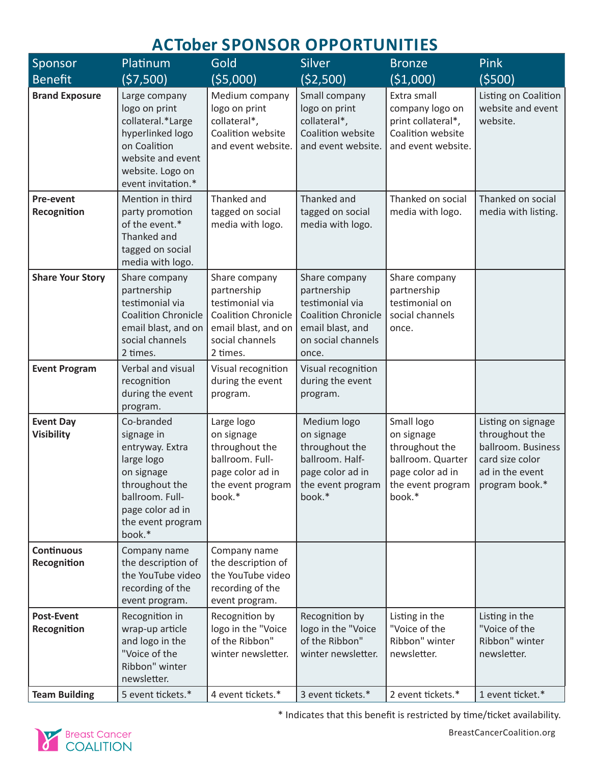### **ACTober SPONSOR OPPORTUNITIES**

| Sponsor                               | Platinum                                                                                                                                                                   | Gold                                                                                                                                | <b>Silver</b>                                                                                                                    | <b>Bronze</b>                                                                                                                                              | Pink                                                                                             |
|---------------------------------------|----------------------------------------------------------------------------------------------------------------------------------------------------------------------------|-------------------------------------------------------------------------------------------------------------------------------------|----------------------------------------------------------------------------------------------------------------------------------|------------------------------------------------------------------------------------------------------------------------------------------------------------|--------------------------------------------------------------------------------------------------|
| <b>Benefit</b>                        | (57,500)                                                                                                                                                                   | (55,000)                                                                                                                            | (\$2,500)                                                                                                                        | ( \$1,000)                                                                                                                                                 | (5500)                                                                                           |
| <b>Brand Exposure</b><br>Pre-event    | Large company<br>logo on print<br>collateral.*Large<br>hyperlinked logo<br>on Coalition<br>website and event<br>website. Logo on<br>event invitation.*<br>Mention in third | Medium company<br>logo on print<br>collateral*,<br>Coalition website<br>and event website.<br>Thanked and                           | Small company<br>logo on print<br>collateral*,<br>Coalition website<br>and event website.<br>Thanked and                         | Extra small<br>company logo on<br>print collateral*,<br>Coalition website<br>and event website.<br>Thanked on social                                       | Listing on Coalition<br>website and event<br>website.<br>Thanked on social                       |
| Recognition                           | party promotion<br>of the event.*<br>Thanked and<br>tagged on social<br>media with logo.                                                                                   | tagged on social<br>media with logo.                                                                                                | tagged on social<br>media with logo.                                                                                             | media with logo.                                                                                                                                           | media with listing.                                                                              |
| <b>Share Your Story</b>               | Share company<br>partnership<br>testimonial via<br><b>Coalition Chronicle</b><br>email blast, and on<br>social channels<br>2 times.                                        | Share company<br>partnership<br>testimonial via<br><b>Coalition Chronicle</b><br>email blast, and on<br>social channels<br>2 times. | Share company<br>partnership<br>testimonial via<br><b>Coalition Chronicle</b><br>email blast, and<br>on social channels<br>once. | Share company<br>partnership<br>testimonial on<br>social channels<br>once.                                                                                 |                                                                                                  |
| <b>Event Program</b>                  | Verbal and visual<br>recognition<br>during the event<br>program.                                                                                                           | Visual recognition<br>during the event<br>program.                                                                                  | Visual recognition<br>during the event<br>program.                                                                               |                                                                                                                                                            |                                                                                                  |
| <b>Event Day</b><br><b>Visibility</b> | Co-branded<br>signage in<br>entryway. Extra<br>large logo<br>on signage<br>throughout the<br>ballroom. Full-<br>page color ad in<br>the event program<br>book.*            | Large logo<br>on signage<br>throughout the<br>ballroom. Full-<br>page color ad in<br>the event program<br>book.*                    | Medium logo<br>on signage<br>throughout the<br>ballroom. Half-<br>page color ad in<br>book.*                                     | Small logo<br>on signage<br>throughout the<br>ballroom. Quarter<br>page color ad in<br>the event program   the event program   program book. $*$<br>book.* | Listing on signage<br>throughout the<br>ballroom. Business<br>card size color<br>ad in the event |
| <b>Continuous</b><br>Recognition      | Company name<br>the description of<br>the YouTube video<br>recording of the<br>event program.                                                                              | Company name<br>the description of<br>the YouTube video<br>recording of the<br>event program.                                       |                                                                                                                                  |                                                                                                                                                            |                                                                                                  |
| <b>Post-Event</b><br>Recognition      | Recognition in<br>wrap-up article<br>and logo in the<br>"Voice of the<br>Ribbon" winter<br>newsletter.                                                                     | Recognition by<br>logo in the "Voice<br>of the Ribbon"<br>winter newsletter.                                                        | Recognition by<br>logo in the "Voice<br>of the Ribbon"<br>winter newsletter.                                                     | Listing in the<br>"Voice of the<br>Ribbon" winter<br>newsletter.                                                                                           | Listing in the<br>"Voice of the<br>Ribbon" winter<br>newsletter.                                 |
| <b>Team Building</b>                  | 5 event tickets.*                                                                                                                                                          | 4 event tickets.*                                                                                                                   | 3 event tickets.*                                                                                                                | 2 event tickets.*                                                                                                                                          | 1 event ticket.*                                                                                 |



\* Indicates that this benefit is restricted by time/ticket availability.